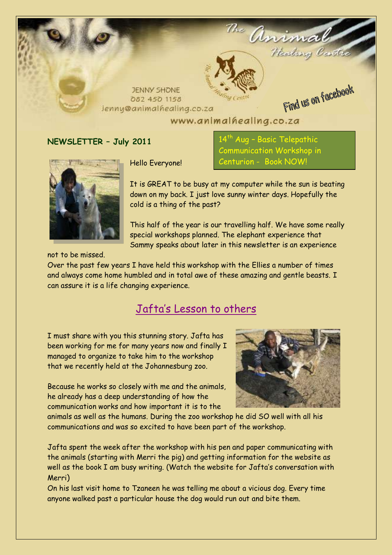

#### www.animalhealing.co.za

#### **NEWSLETTER – July 2011**



Hello Everyone!

.<br>Aug – Basic Telepath<u>ic</u> Communication Workshop in Centurion - Book NOW!

It is GREAT to be busy at my computer while the sun is beating down on my back. I just love sunny winter days. Hopefully the cold is a thing of the past?

This half of the year is our travelling half. We have some really special workshops planned. The elephant experience that Sammy speaks about later in this newsletter is an experience

not to be missed.

Over the past few years I have held this workshop with the Ellies a number of times and always come home humbled and in total awe of these amazing and gentle beasts. I can assure it is a life changing experience.

#### Jafta's Lesson to others

I must share with you this stunning story. Jafta has been working for me for many years now and finally I managed to organize to take him to the workshop that we recently held at the Johannesburg zoo.

Because he works so closely with me and the animals, he already has a deep understanding of how the communication works and how important it is to the



animals as well as the humans. During the zoo workshop he did SO well with all his communications and was so excited to have been part of the workshop.

Jafta spent the week after the workshop with his pen and paper communicating with the animals (starting with Merri the pig) and getting information for the website as well as the book I am busy writing. (Watch the website for Jafta's conversation with Merri)

On his last visit home to Tzaneen he was telling me about a vicious dog. Every time anyone walked past a particular house the dog would run out and bite them.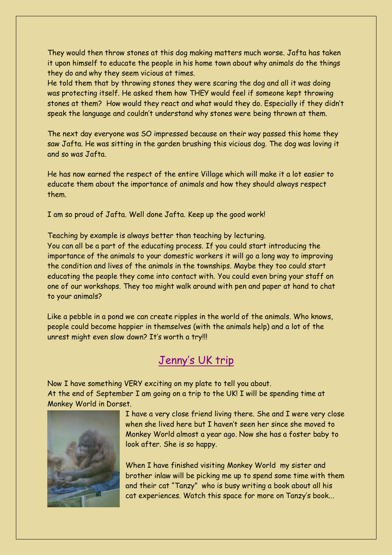They would then throw stones at this dog making matters much worse. Jafta has taken it upon himself to educate the people in his home town about why animals do the things they do and why they seem vicious at times.

He told them that by throwing stones they were scaring the dog and all it was doing was protecting itself. He asked them how THEY would feel if someone kept throwing stones at them? How would they react and what would they do. Especially if they didn't speak the language and couldn't understand why stones were being thrown at them.

The next day everyone was SO impressed because on their way passed this home they saw Jafta. He was sitting in the garden brushing this vicious dog. The dog was loving it and so was Jafta.

He has now earned the respect of the entire Village which will make it a lot easier to educate them about the importance of animals and how they should always respect them.

I am so proud of Jafta. Well done Jafta. Keep up the good work!

Teaching by example is always better than teaching by lecturing. You can all be a part of the educating process. If you could start introducing the importance of the animals to your domestic workers it will go a long way to improving the condition and lives of the animals in the townships. Maybe they too could start educating the people they come into contact with. You could even bring your staff on one of our workshops. They too might walk around with pen and paper at hand to chat to your animals?

Like a pebble in a pond we can create ripples in the world of the animals. Who knows, people could become happier in themselves (with the animals help) and a lot of the unrest might even slow down? It's worth a try!!!

# Jenny's UK trip

Now I have something VERY exciting on my plate to tell you about. At the end of September I am going on a trip to the UK! I will be spending time at Monkey World in Dorset.



I have a very close friend living there. She and I were very close when she lived here but I haven't seen her since she moved to Monkey World almost a year ago. Now she has a foster baby to look after. She is so happy.

When I have finished visiting Monkey World my sister and brother inlaw will be picking me up to spend some time with them and their cat "Tanzy" who is busy writing a book about all his cat experiences. Watch this space for more on Tanzy's book...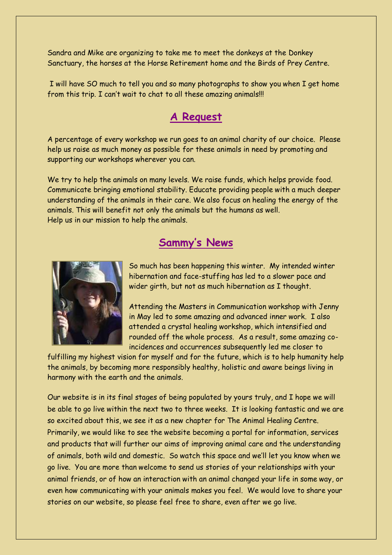Sandra and Mike are organizing to take me to meet the donkeys at the Donkey Sanctuary, the horses at the Horse Retirement home and the Birds of Prey Centre.

I will have SO much to tell you and so many photographs to show you when I get home from this trip. I can't wait to chat to all these amazing animals!!!

## **A Request**

A percentage of every workshop we run goes to an animal charity of our choice. Please help us raise as much money as possible for these animals in need by promoting and supporting our workshops wherever you can.

We try to help the animals on many levels. We raise funds, which helps provide food. Communicate bringing emotional stability. Educate providing people with a much deeper understanding of the animals in their care. We also focus on healing the energy of the animals. This will benefit not only the animals but the humans as well. Help us in our mission to help the animals.

# **Sammy's News**



So much has been happening this winter. My intended winter hibernation and face-stuffing has led to a slower pace and wider girth, but not as much hibernation as I thought.

Attending the Masters in Communication workshop with Jenny in May led to some amazing and advanced inner work. I also attended a crystal healing workshop, which intensified and rounded off the whole process. As a result, some amazing coincidences and occurrences subsequently led me closer to

fulfilling my highest vision for myself and for the future, which is to help humanity help the animals, by becoming more responsibly healthy, holistic and aware beings living in harmony with the earth and the animals.

Our website is in its final stages of being populated by yours truly, and I hope we will be able to go live within the next two to three weeks. It is looking fantastic and we are so excited about this, we see it as a new chapter for The Animal Healing Centre. Primarily, we would like to see the website becoming a portal for information, services and products that will further our aims of improving animal care and the understanding of animals, both wild and domestic. So watch this space and we'll let you know when we go live. You are more than welcome to send us stories of your relationships with your animal friends, or of how an interaction with an animal changed your life in some way, or even how communicating with your animals makes you feel. We would love to share your stories on our website, so please feel free to share, even after we go live.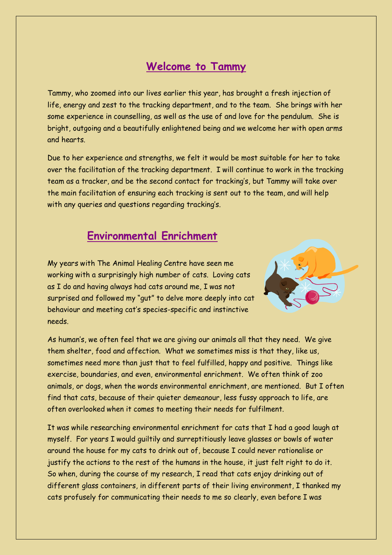### **Welcome to Tammy**

Tammy, who zoomed into our lives earlier this year, has brought a fresh injection of life, energy and zest to the tracking department, and to the team. She brings with her some experience in counselling, as well as the use of and love for the pendulum. She is bright, outgoing and a beautifully enlightened being and we welcome her with open arms and hearts.

Due to her experience and strengths, we felt it would be most suitable for her to take over the facilitation of the tracking department. I will continue to work in the tracking team as a tracker, and be the second contact for tracking's, but Tammy will take over the main facilitation of ensuring each tracking is sent out to the team, and will help with any queries and questions regarding tracking's.

### **Environmental Enrichment**

My years with The Animal Healing Centre have seen me working with a surprisingly high number of cats. Loving cats as I do and having always had cats around me, I was not surprised and followed my "gut" to delve more deeply into cat behaviour and meeting cat's species-specific and instinctive needs.



As human's, we often feel that we are giving our animals all that they need. We give them shelter, food and affection. What we sometimes miss is that they, like us, sometimes need more than just that to feel fulfilled, happy and positive. Things like exercise, boundaries, and even, environmental enrichment. We often think of zoo animals, or dogs, when the words environmental enrichment, are mentioned. But I often find that cats, because of their quieter demeanour, less fussy approach to life, are often overlooked when it comes to meeting their needs for fulfilment.

It was while researching environmental enrichment for cats that I had a good laugh at myself. For years I would guiltily and surreptitiously leave glasses or bowls of water around the house for my cats to drink out of, because I could never rationalise or justify the actions to the rest of the humans in the house, it just felt right to do it. So when, during the course of my research, I read that cats enjoy drinking out of different glass containers, in different parts of their living environment, I thanked my cats profusely for communicating their needs to me so clearly, even before I was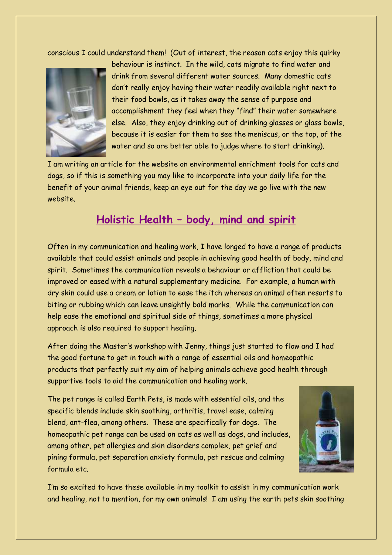conscious I could understand them! (Out of interest, the reason cats enjoy this quirky



behaviour is instinct. In the wild, cats migrate to find water and drink from several different water sources. Many domestic cats don't really enjoy having their water readily available right next to their food bowls, as it takes away the sense of purpose and accomplishment they feel when they "find" their water somewhere else. Also, they enjoy drinking out of drinking glasses or glass bowls, because it is easier for them to see the meniscus, or the top, of the water and so are better able to judge where to start drinking).

I am writing an article for the website on environmental enrichment tools for cats and dogs, so if this is something you may like to incorporate into your daily life for the benefit of your animal friends, keep an eye out for the day we go live with the new website.

#### **Holistic Health – body, mind and spirit**

Often in my communication and healing work, I have longed to have a range of products available that could assist animals and people in achieving good health of body, mind and spirit. Sometimes the communication reveals a behaviour or affliction that could be improved or eased with a natural supplementary medicine. For example, a human with dry skin could use a cream or lotion to ease the itch whereas an animal often resorts to biting or rubbing which can leave unsightly bald marks. While the communication can help ease the emotional and spiritual side of things, sometimes a more physical approach is also required to support healing.

After doing the Master's workshop with Jenny, things just started to flow and I had the good fortune to get in touch with a range of essential oils and homeopathic products that perfectly suit my aim of helping animals achieve good health through supportive tools to aid the communication and healing work.

The pet range is called Earth Pets, is made with essential oils, and the specific blends include skin soothing, arthritis, travel ease, calming blend, ant-flea, among others. These are specifically for dogs. The homeopathic pet range can be used on cats as well as dogs, and includes, among other, pet allergies and skin disorders complex, pet grief and pining formula, pet separation anxiety formula, pet rescue and calming formula etc.



I'm so excited to have these available in my toolkit to assist in my communication work and healing, not to mention, for my own animals! I am using the earth pets skin soothing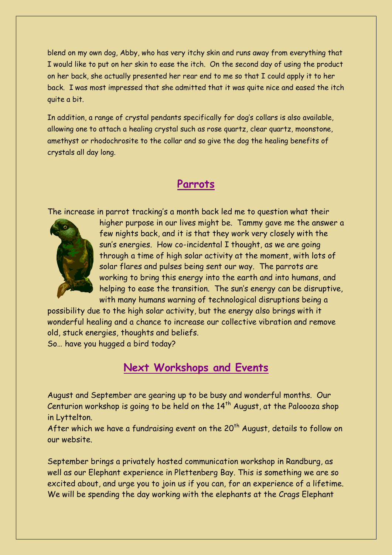blend on my own dog, Abby, who has very itchy skin and runs away from everything that I would like to put on her skin to ease the itch. On the second day of using the product on her back, she actually presented her rear end to me so that I could apply it to her back. I was most impressed that she admitted that it was quite nice and eased the itch quite a bit.

In addition, a range of crystal pendants specifically for dog's collars is also available, allowing one to attach a healing crystal such as rose quartz, clear quartz, moonstone, amethyst or rhodochrosite to the collar and so give the dog the healing benefits of crystals all day long.

#### **Parrots**

The increase in parrot tracking's a month back led me to question what their



higher purpose in our lives might be. Tammy gave me the answer a few nights back, and it is that they work very closely with the sun's energies. How co-incidental I thought, as we are going through a time of high solar activity at the moment, with lots of solar flares and pulses being sent our way. The parrots are working to bring this energy into the earth and into humans, and helping to ease the transition. The sun's energy can be disruptive, with many humans warning of technological disruptions being a

possibility due to the high solar activity, but the energy also brings with it wonderful healing and a chance to increase our collective vibration and remove old, stuck energies, thoughts and beliefs.

So… have you hugged a bird today?

### **Next Workshops and Events**

August and September are gearing up to be busy and wonderful months. Our Centurion workshop is going to be held on the  $14<sup>th</sup>$  August, at the Paloooza shop in Lyttelton.

After which we have a fundraising event on the 20<sup>th</sup> August, details to follow on our website.

September brings a privately hosted communication workshop in Randburg, as well as our Elephant experience in Plettenberg Bay. This is something we are so excited about, and urge you to join us if you can, for an experience of a lifetime. We will be spending the day working with the elephants at the Crags Elephant